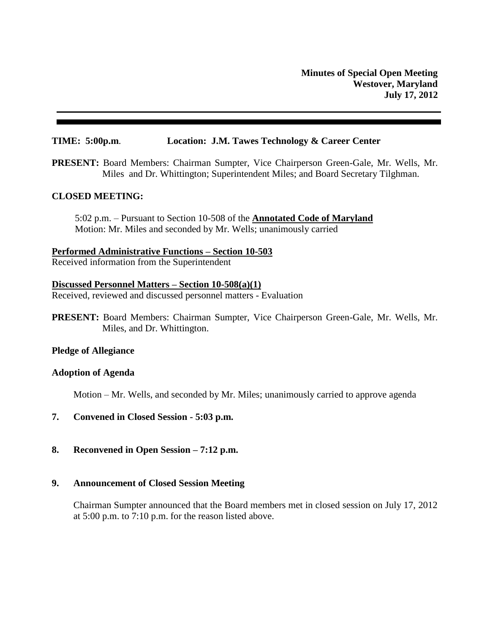## **TIME: 5:00p.m**. **Location: J.M. Tawes Technology & Career Center**

**PRESENT:** Board Members: Chairman Sumpter, Vice Chairperson Green-Gale, Mr. Wells, Mr. Miles and Dr. Whittington; Superintendent Miles; and Board Secretary Tilghman.

## **CLOSED MEETING:**

5:02 p.m. – Pursuant to Section 10-508 of the **Annotated Code of Maryland** Motion: Mr. Miles and seconded by Mr. Wells; unanimously carried

**Performed Administrative Functions – Section 10-503**

Received information from the Superintendent

## **Discussed Personnel Matters – Section 10-508(a)(1)**

Received, reviewed and discussed personnel matters - Evaluation

**PRESENT:** Board Members: Chairman Sumpter, Vice Chairperson Green-Gale, Mr. Wells, Mr. Miles, and Dr. Whittington.

#### **Pledge of Allegiance**

#### **Adoption of Agenda**

Motion – Mr. Wells, and seconded by Mr. Miles; unanimously carried to approve agenda

- **7. Convened in Closed Session - 5:03 p.m.**
- **8. Reconvened in Open Session – 7:12 p.m.**

## **9. Announcement of Closed Session Meeting**

Chairman Sumpter announced that the Board members met in closed session on July 17, 2012 at 5:00 p.m. to 7:10 p.m. for the reason listed above.